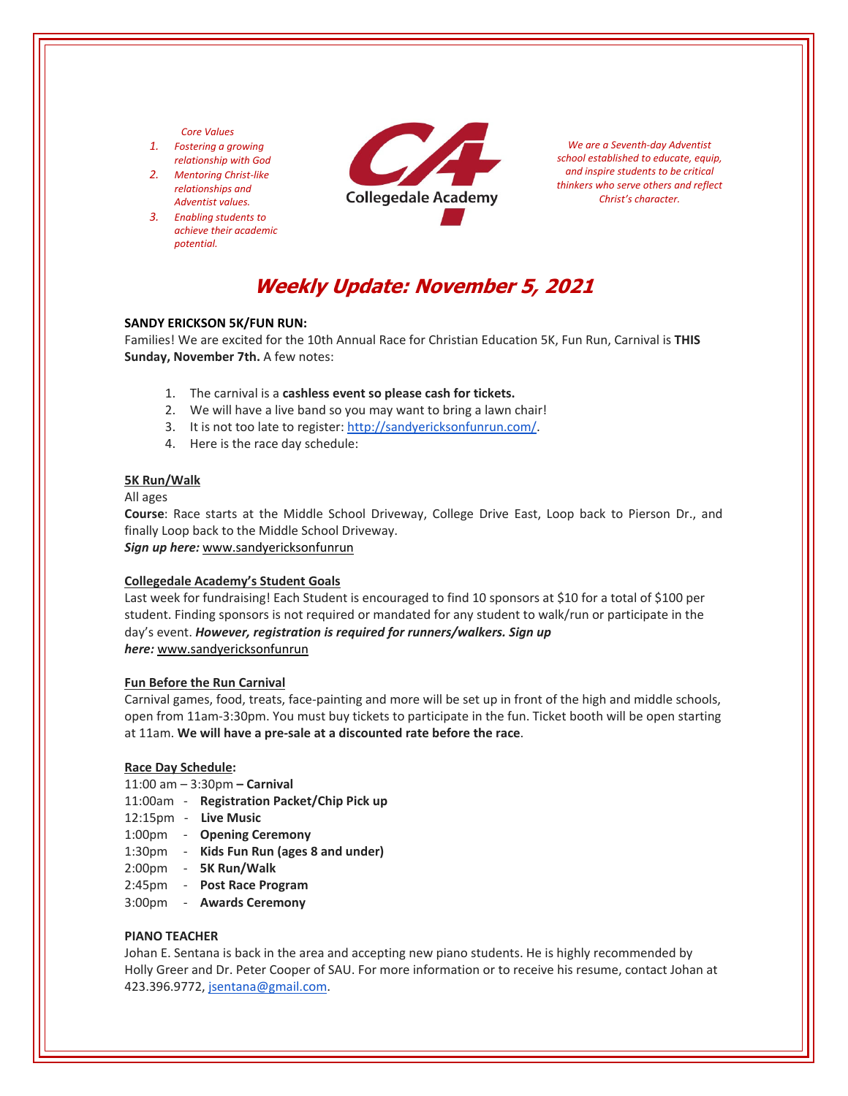## *Core Values*

- *1. Fostering a growing relationship with God*
- *2. Mentoring Christ‐like relationships and Adventist values.*
- *3. Enabling students to achieve their academic potential.*



*We are a Seventh‐day Adventist school established to educate, equip, and inspire students to be critical thinkers who serve others and reflect Christ's character.*

# **Weekly Update: November 5, 2021**

## **SANDY ERICKSON 5K/FUN RUN:**

Families! We are excited for the 10th Annual Race for Christian Education 5K, Fun Run, Carnival is **THIS Sunday, November 7th.** A few notes:

- 1. The carnival is a **cashless event so please cash for tickets.**
- 2. We will have a live band so you may want to bring a lawn chair!
- 3. It is not too late to register: [http://sandyericksonfunrun.com/.](http://sandyericksonfunrun.com/)
- 4. Here is the race day schedule:

#### **5K Run/Walk**

All ages

**Course**: Race starts at the Middle School Driveway, College Drive East, Loop back to Pierson Dr., and finally Loop back to the Middle School Driveway.

*Sign up here:* www.sandyericksonfunrun

#### **Collegedale Academy's Student Goals**

Last week for fundraising! Each Student is encouraged to find 10 sponsors at \$10 for a total of \$100 per student. Finding sponsors is not required or mandated for any student to walk/run or participate in the day's event. *However, registration is required for runners/walkers. Sign up here:* www.sandyericksonfunrun

#### **Fun Before the Run Carnival**

Carnival games, food, treats, face‐painting and more will be set up in front of the high and middle schools, open from 11am‐3:30pm. You must buy tickets to participate in the fun. Ticket booth will be open starting at 11am. **We will have a pre‐sale at a discounted rate before the race**.

#### **Race Day Schedule:**

- 11:00 am 3:30pm **– Carnival**
- 11:00am ‐ **Registration Packet/Chip Pick up**
- 12:15pm ‐ **Live Music**
- 1:00pm ‐ **Opening Ceremony**
- 1:30pm ‐ **Kids Fun Run (ages 8 and under)**
- 2:00pm ‐ **5K Run/Walk**
- 2:45pm ‐ **Post Race Program**
- 3:00pm ‐ **Awards Ceremony**

## **PIANO TEACHER**

Johan E. Sentana is back in the area and accepting new piano students. He is highly recommended by Holly Greer and Dr. Peter Cooper of SAU. For more information or to receive his resume, contact Johan at 423.396.9772, jsentana@gmail.com.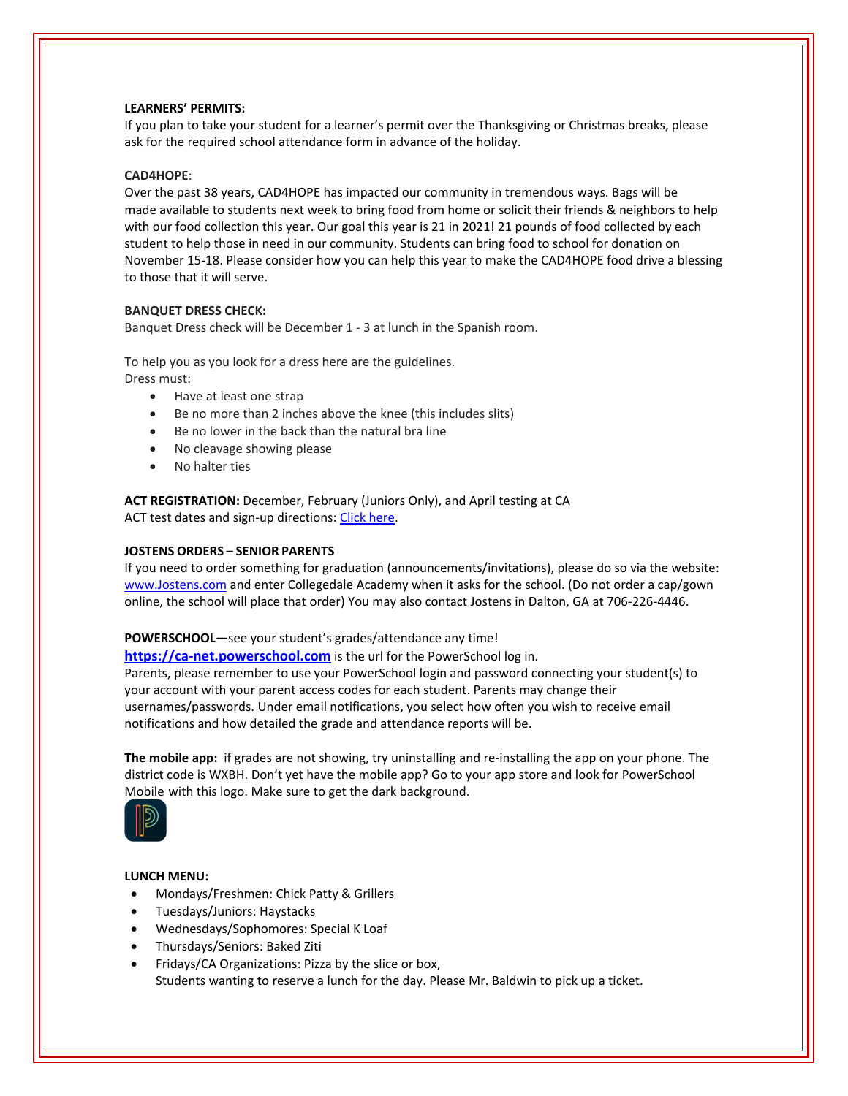## **LEARNERS' PERMITS:**

If you plan to take your student for a learner's permit over the Thanksgiving or Christmas breaks, please ask for the required school attendance form in advance of the holiday.

# **CAD4HOPE**:

Over the past 38 years, CAD4HOPE has impacted our community in tremendous ways. Bags will be made available to students next week to bring food from home or solicit their friends & neighbors to help with our food collection this year. Our goal this year is 21 in 2021! 21 pounds of food collected by each student to help those in need in our community. Students can bring food to school for donation on November 15‐18. Please consider how you can help this year to make the CAD4HOPE food drive a blessing to those that it will serve.

# **BANQUET DRESS CHECK:**

Banquet Dress check will be December 1 ‐ 3 at lunch in the Spanish room.

To help you as you look for a dress here are the guidelines. Dress must:

- Have at least one strap
- Be no more than 2 inches above the knee (this includes slits)
- Be no lower in the back than the natural bra line
- No cleavage showing please
- No halter ties

**ACT REGISTRATION:** December, February (Juniors Only), and April testing at CA ACT test dates and sign-up directions: Click [here.](https://www.act.org/)

# **JOSTENS ORDERS – SENIOR PARENTS**

If you need to order something for graduation (announcements/invitations), please do so via the website: [www.Jostens.com](https://www.jostens.com/) and enter Collegedale Academy when it asks for the school. (Do not order a cap/gown online, the school will place that order) You may also contact Jostens in Dalton, GA at 706‐226‐4446.

# **POWERSCHOOL—**see your student's grades/attendance any time!

**https://ca-[net.powerschool.com](https://ca-net.powerschool.com/public/)** is the url for the PowerSchool log in. Parents, please remember to use your PowerSchool login and password connecting your student(s) to your account with your parent access codes for each student. Parents may change their usernames/passwords. Under email notifications, you select how often you wish to receive email notifications and how detailed the grade and attendance reports will be.

**The mobile app:** if grades are not showing, try uninstalling and re‐installing the app on your phone. The district code is WXBH. Don't yet have the mobile app? Go to your app store and look for PowerSchool Mobile with this logo. Make sure to get the dark background.



# **LUNCH MENU:**

- Mondays/Freshmen: Chick Patty & Grillers
- Tuesdays/Juniors: Haystacks
- Wednesdays/Sophomores: Special K Loaf
- Thursdays/Seniors: Baked Ziti
- Fridays/CA Organizations: Pizza by the slice or box, Students wanting to reserve a lunch for the day. Please Mr. Baldwin to pick up a ticket.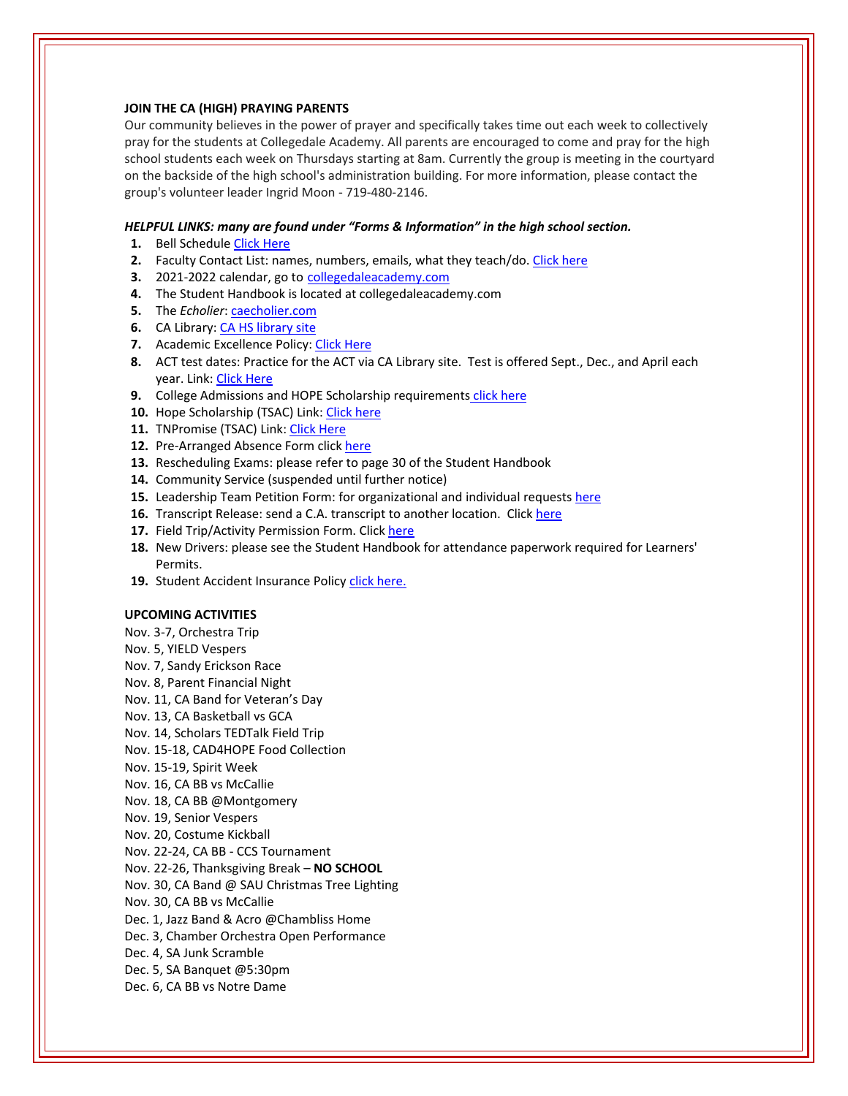## **JOIN THE CA (HIGH) PRAYING PARENTS**

Our community believes in the power of prayer and specifically takes time out each week to collectively pray for the students at Collegedale Academy. All parents are encouraged to come and pray for the high school students each week on Thursdays starting at 8am. Currently the group is meeting in the courtyard on the backside of the high school's administration building. For more information, please contact the group's volunteer leader Ingrid Moon ‐ 719‐480‐2146.

#### *HELPFUL LINKS: many are found under "Forms & Information" in the high school section.*

- **1.** Bell Schedule Click [Here](https://www.collegedaleacademy.com/wp-content/uploads/2018/08/Bell-Schedule.pdf)
- **2.** Faculty Contact List: names, numbers, emails, what they teach/do. [Click](https://www.collegedaleacademy.com/wp-content/uploads/2021/08/faculty-only-2021-2022.pdf) here
- **3.** 2021‐2022 calendar, go to [collegedaleacademy.com](https://www.collegedaleacademy.com/calendars/)
- **4.** The Student Handbook is located at collegedaleacademy.com
- **5.** The *Echolier*: [caecholier.com](https://caecholier.com/)
- **6.** CA Library: CA HS [library](https://southernuniongcc.mlasolutions.com/m5/catalog/(S(bd5h331aghdph1y1r2cw2j0z))/default.aspx?installation=CDA) site
- **7.** Academic Excellence Policy: Click [Here](https://www.collegedaleacademy.com/wp-content/uploads/2018/08/Academic-Excellence-Policy.pdf)
- **8.** ACT test dates: Practice for the ACT via CA Library site. Test is offered Sept., Dec., and April each year. Link: Click [Here](https://www.act.org/)
- **9.** College Admissions and HOPE Scholarship requirements click [here](https://www.collegedaleacademy.com/wp-content/uploads/2019/08/TSAC-Scholarship-Info.pdf)
- **10.** Hope Scholarship (TSAC) Link: Click [here](https://www.tn.gov/collegepays/money-for-college/tn-education-lottery-programs/tennessee-hope-scholarship.html)
- **11.** TNPromise (TSAC) Link: Click [Here](https://www.tn.gov/tnpromise.html)
- 12. Pre-Arranged Absence Form click [here](https://www.collegedaleacademy.com/wp-content/uploads/2016/11/Class-Absence-Request-Form-May-2017.pdf)
- **13.** Rescheduling Exams: please refer to page 30 of the Student Handbook
- **14.** Community Service (suspended until further notice)
- **15.** Leadership Team Petition Form: for organizational and individual requests [here](https://www.collegedaleacademy.com/wp-content/uploads/2019/08/Leadership-Petition-SSch.pdf)
- **16.** Transcript Release: send a C.A. transcript to another location. Click [here](https://www.collegedaleacademy.com/wp-content/uploads/2016/12/transcriptrelease2014.pdf)
- 17. Field Trip/Activity Permission Form. Click [here](https://www.collegedaleacademy.com/wp-content/uploads/2018/08/Field-Trip-form.pdf)
- **18.** New Drivers: please see the Student Handbook for attendance paperwork required for Learners' Permits.
- 19. Student Accident Insurance Policy click [here.](https://adventistrisk.org/en-us/insurance/nad/k-12-student-accident)

## **UPCOMING ACTIVITIES**

Nov. 3‐7, Orchestra Trip

- Nov. 5, YIELD Vespers
- Nov. 7, Sandy Erickson Race
- Nov. 8, Parent Financial Night
- Nov. 11, CA Band for Veteran's Day
- Nov. 13, CA Basketball vs GCA
- Nov. 14, Scholars TEDTalk Field Trip
- Nov. 15‐18, CAD4HOPE Food Collection
- Nov. 15‐19, Spirit Week
- Nov. 16, CA BB vs McCallie
- Nov. 18, CA BB @Montgomery
- Nov. 19, Senior Vespers
- Nov. 20, Costume Kickball
- Nov. 22‐24, CA BB ‐ CCS Tournament
- Nov. 22‐26, Thanksgiving Break **NO SCHOOL**
- Nov. 30, CA Band @ SAU Christmas Tree Lighting
- Nov. 30, CA BB vs McCallie
- Dec. 1, Jazz Band & Acro @Chambliss Home
- Dec. 3, Chamber Orchestra Open Performance
- Dec. 4, SA Junk Scramble
- Dec. 5, SA Banquet @5:30pm
- Dec. 6, CA BB vs Notre Dame